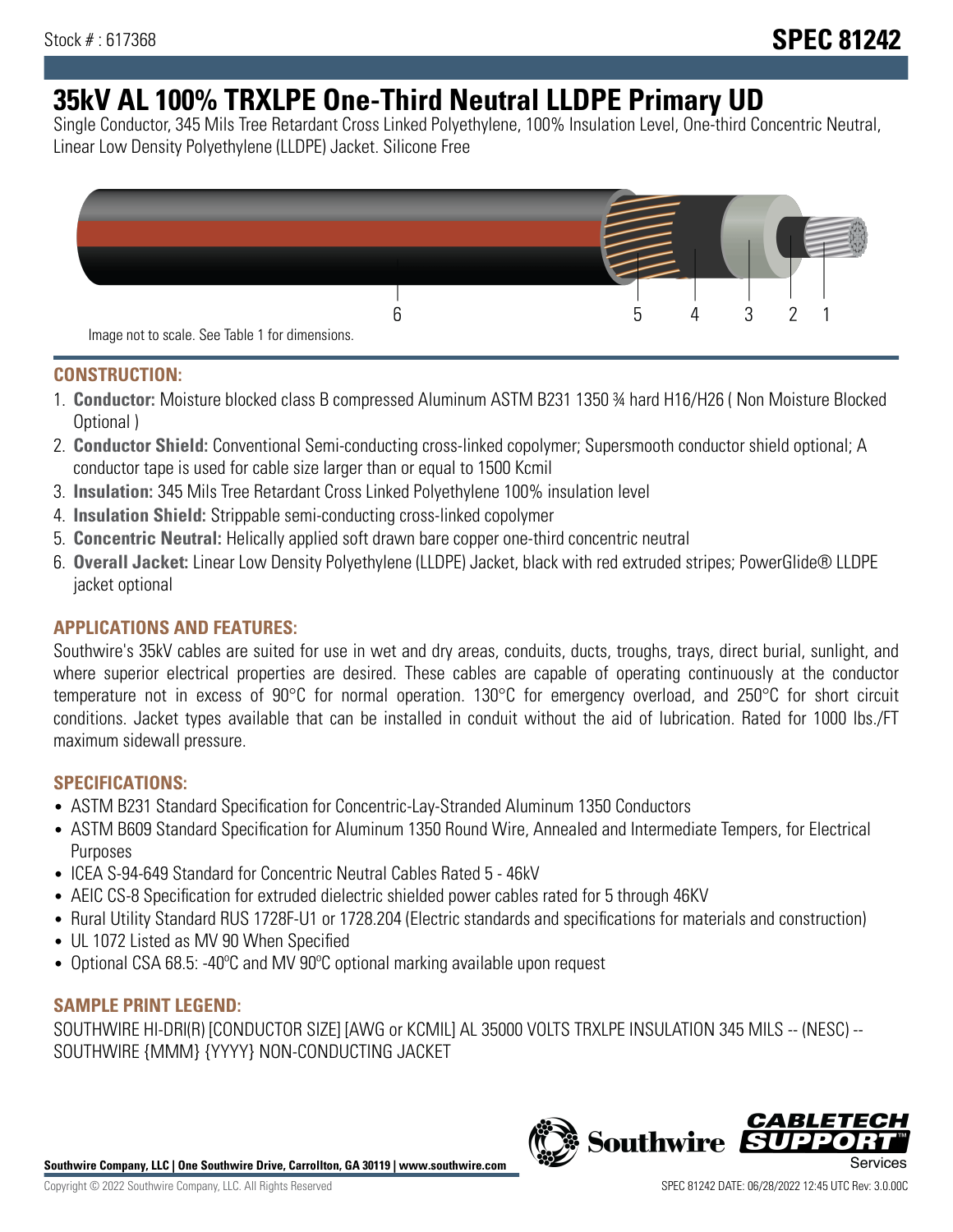# **35kV AL 100% TRXLPE One-Third Neutral LLDPE Primary UD**

Single Conductor, 345 Mils Tree Retardant Cross Linked Polyethylene, 100% Insulation Level, One-third Concentric Neutral, Linear Low Density Polyethylene (LLDPE) Jacket. Silicone Free



## **CONSTRUCTION:**

- 1. **Conductor:** Moisture blocked class B compressed Aluminum ASTM B231 1350 ¾ hard H16/H26 ( Non Moisture Blocked Optional )
- 2. **Conductor Shield:** Conventional Semi-conducting cross-linked copolymer; Supersmooth conductor shield optional; A conductor tape is used for cable size larger than or equal to 1500 Kcmil
- 3. **Insulation:** 345 Mils Tree Retardant Cross Linked Polyethylene 100% insulation level
- 4. **Insulation Shield:** Strippable semi-conducting cross-linked copolymer
- 5. **Concentric Neutral:** Helically applied soft drawn bare copper one-third concentric neutral
- 6. **Overall Jacket:** Linear Low Density Polyethylene (LLDPE) Jacket, black with red extruded stripes; PowerGlide® LLDPE jacket optional

## **APPLICATIONS AND FEATURES:**

Southwire's 35kV cables are suited for use in wet and dry areas, conduits, ducts, troughs, trays, direct burial, sunlight, and where superior electrical properties are desired. These cables are capable of operating continuously at the conductor temperature not in excess of 90°C for normal operation. 130°C for emergency overload, and 250°C for short circuit conditions. Jacket types available that can be installed in conduit without the aid of lubrication. Rated for 1000 lbs./FT maximum sidewall pressure.

## **SPECIFICATIONS:**

- ASTM B231 Standard Specification for Concentric-Lay-Stranded Aluminum 1350 Conductors
- ASTM B609 Standard Specification for Aluminum 1350 Round Wire, Annealed and Intermediate Tempers, for Electrical Purposes
- ICEA S-94-649 Standard for Concentric Neutral Cables Rated 5 46kV
- AEIC CS-8 Specification for extruded dielectric shielded power cables rated for 5 through 46KV
- Rural Utility Standard RUS 1728F-U1 or 1728.204 (Electric standards and specifications for materials and construction)
- UL 1072 Listed as MV 90 When Specified
- Optional CSA 68.5: -40ºC and MV 90ºC optional marking available upon request

## **SAMPLE PRINT LEGEND:**

SOUTHWIRE HI-DRI(R) [CONDUCTOR SIZE] [AWG or KCMIL] AL 35000 VOLTS TRXLPE INSULATION 345 MILS -- (NESC) -- SOUTHWIRE {MMM} {YYYY} NON-CONDUCTING JACKET

**Southwire Company, LLC | One Southwire Drive, Carrollton, GA 30119 | www.southwire.com**

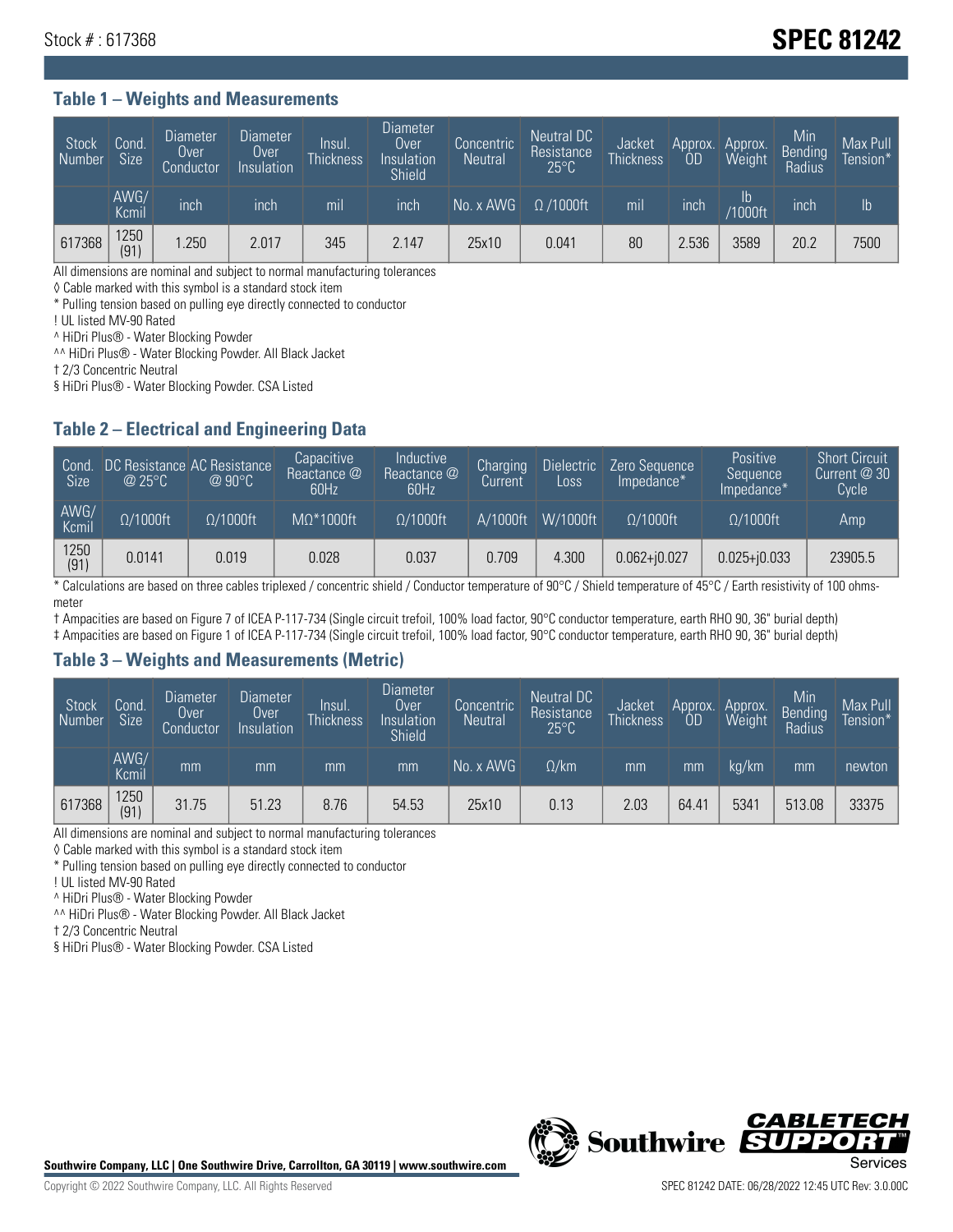# Stock # : 617368 **SPEC 81242**

#### **Table 1 – Weights and Measurements**

| Stock<br>Number | Cond.<br>Size <sup>1</sup> | <b>Diameter</b><br>Over<br>Conductor | <b>Diameter</b><br>Over<br>Insulation | Insul.<br><b>Thickness</b> | <b>Diameter</b><br>Over<br>Insulation<br>Shield | Concentric<br><b>Neutral</b> | Neutral DC<br>Resistance<br>$25^{\circ}$ C | <b>Jacket</b><br><b>Thickness</b> | Approx.<br>0D | Approx.<br>Weight    | Min<br><b>Bending</b><br>Radius | Max Pull<br>Tension* |
|-----------------|----------------------------|--------------------------------------|---------------------------------------|----------------------------|-------------------------------------------------|------------------------------|--------------------------------------------|-----------------------------------|---------------|----------------------|---------------------------------|----------------------|
|                 | AWG/<br>Kcmil              | inch                                 | inch                                  | m <sub>l</sub>             | inch                                            | No. x AWG                    | $\Omega$ /1000ft                           | mil                               | inch          | Ib<br><b>Y1000ft</b> | <b>Inch</b>                     | Ib                   |
| 617368          | 1250<br>(91)               | .250                                 | 2.017                                 | 345                        | 2.147                                           | 25x10                        | 0.041                                      | 80                                | 2.536         | 3589                 | 20.2                            | 7500                 |

All dimensions are nominal and subject to normal manufacturing tolerances

◊ Cable marked with this symbol is a standard stock item

\* Pulling tension based on pulling eye directly connected to conductor

! UL listed MV-90 Rated

^ HiDri Plus® - Water Blocking Powder

^^ HiDri Plus® - Water Blocking Powder. All Black Jacket

† 2/3 Concentric Neutral

§ HiDri Plus® - Water Blocking Powder. CSA Listed

## **Table 2 – Electrical and Engineering Data**

| Cond.<br><b>Size</b> | @25°C            | DC Resistance AC Resistance<br>$@90^{\circ}C$ | Capacitive<br>Reactance @<br>60Hz | Inductive<br>Reactance @<br>60Hz | Charging<br>Current | <b>Dielectric</b><br>Loss | Zero Sequence<br>Impedance* | Positive<br>Sequence<br>Impedance* | <b>Short Circuit</b><br>Current $@30$<br>Cycle |
|----------------------|------------------|-----------------------------------------------|-----------------------------------|----------------------------------|---------------------|---------------------------|-----------------------------|------------------------------------|------------------------------------------------|
| AWG/<br>Kcmil        | $\Omega/1000$ ft | $\Omega/1000$ ft                              | $MO^*1000ft$                      | $\Omega/1000$ ft                 | A/1000ft            | W/1000ft                  | $\Omega/1000$ ft            | $\Omega/1000$ ft                   | Amp                                            |
| 1250<br>(91)         | 0.0141           | 0.019                                         | 0.028                             | 0.037                            | 0.709               | 4.300                     | $0.062 + j0.027$            | $0.025 + j0.033$                   | 23905.5                                        |

\* Calculations are based on three cables triplexed / concentric shield / Conductor temperature of 90°C / Shield temperature of 45°C / Earth resistivity of 100 ohmsmeter

† Ampacities are based on Figure 7 of ICEA P-117-734 (Single circuit trefoil, 100% load factor, 90°C conductor temperature, earth RHO 90, 36" burial depth)

‡ Ampacities are based on Figure 1 of ICEA P-117-734 (Single circuit trefoil, 100% load factor, 90°C conductor temperature, earth RHO 90, 36" burial depth)

## **Table 3 – Weights and Measurements (Metric)**

| Stock<br>Number | Cond.<br><b>Size</b> | <b>Diameter</b><br>Over<br>Conductor | <b>Diameter</b><br>Over<br>Insulation | <b>Insul</b><br><b>Thickness</b> | <b>Diameter</b><br>Over<br>Insulation<br>Shield | Concentric<br><b>Neutral</b> | Neutral DC<br>Resistance<br>$25^{\circ}$ C | Jacket<br><b>Thickness</b> | Approx.<br>OD | Approx.<br>Weight | Min<br>Bending<br>Radius | Max Pull<br>Tension* |
|-----------------|----------------------|--------------------------------------|---------------------------------------|----------------------------------|-------------------------------------------------|------------------------------|--------------------------------------------|----------------------------|---------------|-------------------|--------------------------|----------------------|
|                 | AWG/<br>Kcmil        | mm                                   | mm                                    | mm                               | mm                                              | No. x AWG                    | $\Omega$ /km                               | mm                         | mm            | ka/km             | mm                       | newton               |
| 617368          | 1250<br>(91)         | 31.75                                | 51.23                                 | 8.76                             | 54.53                                           | 25x10                        | 0.13                                       | 2.03                       | 64.41         | 5341              | 513.08                   | 33375                |

All dimensions are nominal and subject to normal manufacturing tolerances

◊ Cable marked with this symbol is a standard stock item

\* Pulling tension based on pulling eye directly connected to conductor

! UL listed MV-90 Rated

^ HiDri Plus® - Water Blocking Powder

^^ HiDri Plus® - Water Blocking Powder. All Black Jacket

† 2/3 Concentric Neutral

§ HiDri Plus® - Water Blocking Powder. CSA Listed